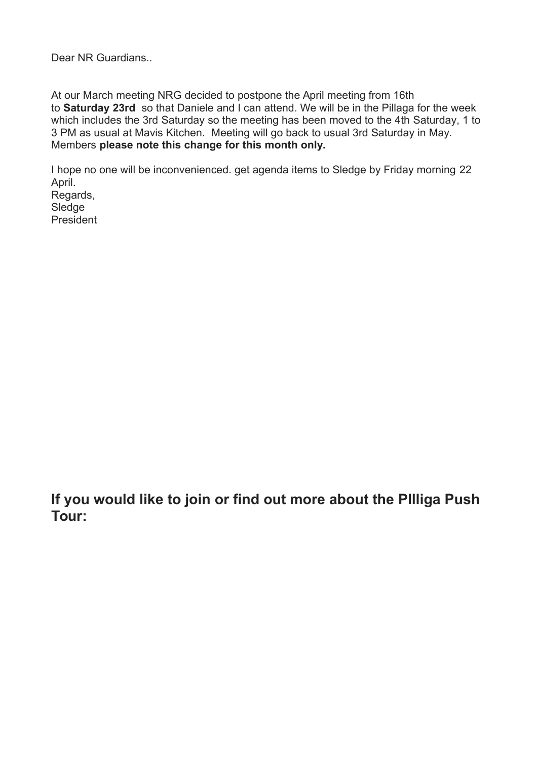Dear NR Guardians..

At our March meeting NRG decided to postpone the April meeting from 16th to **Saturday 23rd** so that Daniele and I can attend. We will be in the Pillaga for the week which includes the 3rd Saturday so the meeting has been moved to the 4th Saturday, 1 to 3 PM as usual at Mavis Kitchen. Meeting will go back to usual 3rd Saturday in May. Members **please note this change for this month only.**

I hope no one will be inconvenienced. get agenda items to Sledge by Friday morning 22 April. Regards, Sledge President

**If you would like to join or find out more about the PIlliga Push Tour:**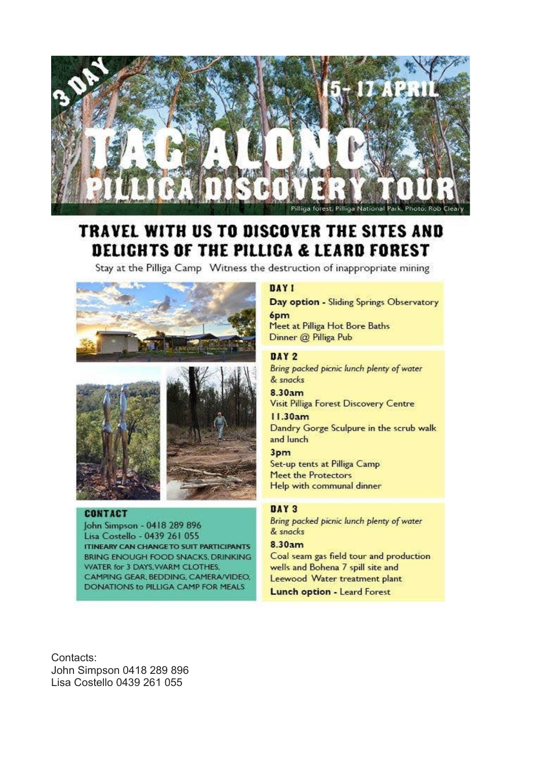

# TRAVEL WITH US TO DISCOVER THE SITES AND DELICHTS OF THE PILLICA & LEARD FOREST

Stay at the Pilliga Camp Witness the destruction of inappropriate mining





#### **CONTACT**

John Simpson - 0418 289 896 Lisa Costello - 0439 261 055 **ITINEARY CAN CHANGE TO SUIT PARTICIPANTS** BRING ENOUGH FOOD SNACKS, DRINKING **WATER for 3 DAYS, WARM CLOTHES,** CAMPING GEAR, BEDDING, CAMERA/VIDEO, DONATIONS to PILLIGA CAMP FOR MEALS

#### DAY 1

Day option - Sliding Springs Observatory 6<sub>pm</sub> Meet at Pilliga Hot Bore Baths Dinner @ Pilliga Pub

#### DAY 2

Bring packed picnic lunch plenty of water & snacks

8.30am Visit Pilliga Forest Discovery Centre

11.30am Dandry Gorge Sculpure in the scrub walk and lunch

### 3pm

Set-up tents at Pilliga Camp Meet the Protectors Help with communal dinner

#### DAY 3

Bring packed picnic lunch plenty of water & snacks

#### 8.30am

Coal seam gas field tour and production wells and Bohena 7 spill site and Leewood Water treatment plant **Lunch option - Leard Forest** 

Contacts: John Simpson 0418 289 896 Lisa Costello 0439 261 055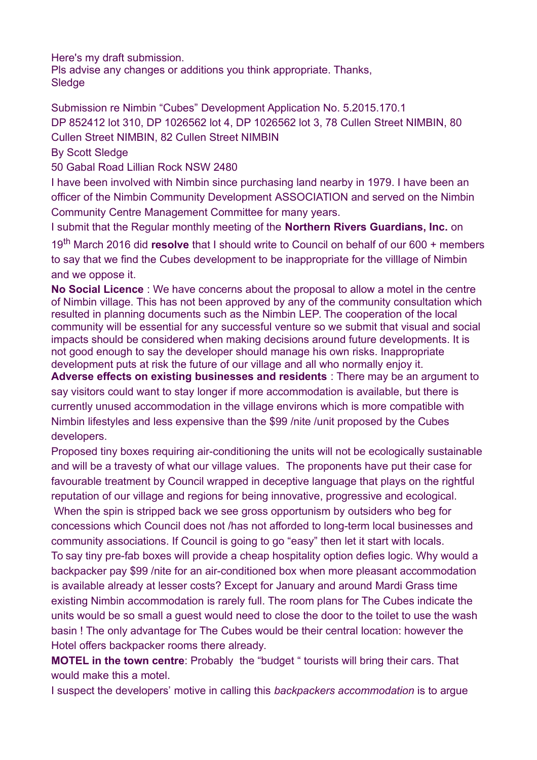Here's my draft submission.

Pls advise any changes or additions you think appropriate. Thanks, **Sledge** 

Submission re Nimbin "Cubes" Development Application No. 5.2015.170.1 DP 852412 lot 310, DP 1026562 lot 4, DP 1026562 lot 3, 78 Cullen Street NIMBIN, 80 Cullen Street NIMBIN, 82 Cullen Street NIMBIN

By Scott Sledge

50 Gabal Road Lillian Rock NSW 2480

I have been involved with Nimbin since purchasing land nearby in 1979. I have been an officer of the Nimbin Community Development ASSOCIATION and served on the Nimbin Community Centre Management Committee for many years.

I submit that the Regular monthly meeting of the **Northern Rivers Guardians, Inc.** on

19th March 2016 did **resolve** that I should write to Council on behalf of our 600 + members to say that we find the Cubes development to be inappropriate for the villlage of Nimbin and we oppose it.

**No Social Licence** : We have concerns about the proposal to allow a motel in the centre of Nimbin village. This has not been approved by any of the community consultation which resulted in planning documents such as the Nimbin LEP. The cooperation of the local community will be essential for any successful venture so we submit that visual and social impacts should be considered when making decisions around future developments. It is not good enough to say the developer should manage his own risks. Inappropriate development puts at risk the future of our village and all who normally enjoy it.

**Adverse effects on existing businesses and residents** : There may be an argument to say visitors could want to stay longer if more accommodation is available, but there is currently unused accommodation in the village environs which is more compatible with Nimbin lifestyles and less expensive than the \$99 /nite /unit proposed by the Cubes developers.

Proposed tiny boxes requiring air-conditioning the units will not be ecologically sustainable and will be a travesty of what our village values. The proponents have put their case for favourable treatment by Council wrapped in deceptive language that plays on the rightful reputation of our village and regions for being innovative, progressive and ecological. When the spin is stripped back we see gross opportunism by outsiders who beg for concessions which Council does not /has not afforded to long-term local businesses and community associations. If Council is going to go "easy" then let it start with locals. To say tiny pre-fab boxes will provide a cheap hospitality option defies logic. Why would a backpacker pay \$99 /nite for an air-conditioned box when more pleasant accommodation is available already at lesser costs? Except for January and around Mardi Grass time existing Nimbin accommodation is rarely full. The room plans for The Cubes indicate the units would be so small a guest would need to close the door to the toilet to use the wash basin ! The only advantage for The Cubes would be their central location: however the Hotel offers backpacker rooms there already.

**MOTEL in the town centre**: Probably the "budget " tourists will bring their cars. That would make this a motel.

I suspect the developers' motive in calling this *backpackers accommodation* is to argue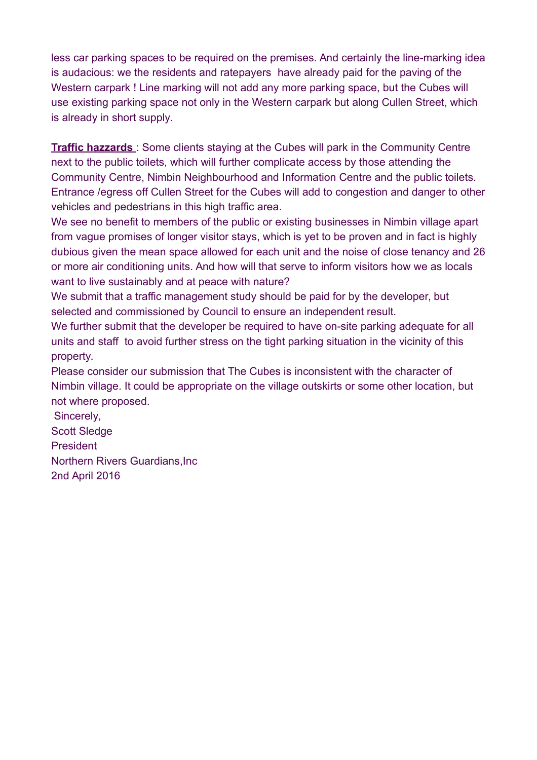less car parking spaces to be required on the premises. And certainly the line-marking idea is audacious: we the residents and ratepayers have already paid for the paving of the Western carpark ! Line marking will not add any more parking space, but the Cubes will use existing parking space not only in the Western carpark but along Cullen Street, which is already in short supply.

**Traffic hazzards** : Some clients staying at the Cubes will park in the Community Centre next to the public toilets, which will further complicate access by those attending the Community Centre, Nimbin Neighbourhood and Information Centre and the public toilets. Entrance /egress off Cullen Street for the Cubes will add to congestion and danger to other vehicles and pedestrians in this high traffic area.

We see no benefit to members of the public or existing businesses in Nimbin village apart from vague promises of longer visitor stays, which is yet to be proven and in fact is highly dubious given the mean space allowed for each unit and the noise of close tenancy and 26 or more air conditioning units. And how will that serve to inform visitors how we as locals want to live sustainably and at peace with nature?

We submit that a traffic management study should be paid for by the developer, but selected and commissioned by Council to ensure an independent result.

We further submit that the developer be required to have on-site parking adequate for all units and staff to avoid further stress on the tight parking situation in the vicinity of this property.

Please consider our submission that The Cubes is inconsistent with the character of Nimbin village. It could be appropriate on the village outskirts or some other location, but not where proposed.

Sincerely, Scott Sledge President Northern Rivers Guardians,Inc 2nd April 2016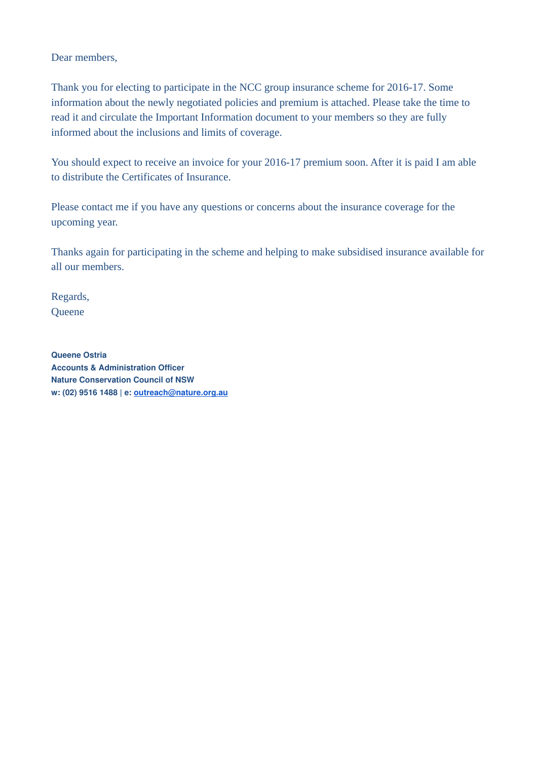Dear members,

Thank you for electing to participate in the NCC group insurance scheme for 2016-17. Some information about the newly negotiated policies and premium is attached. Please take the time to read it and circulate the Important Information document to your members so they are fully informed about the inclusions and limits of coverage.

You should expect to receive an invoice for your 2016-17 premium soon. After it is paid I am able to distribute the Certificates of Insurance.

Please contact me if you have any questions or concerns about the insurance coverage for the upcoming year.

Thanks again for participating in the scheme and helping to make subsidised insurance available for all our members.

Regards, **Queene** 

**Queene Ostria Accounts & Administration Officer Nature Conservation Council of NSW w: (02) 9516 1488 | e: [outreach@nature.org.au](mailto:outreach@nature.org.au)**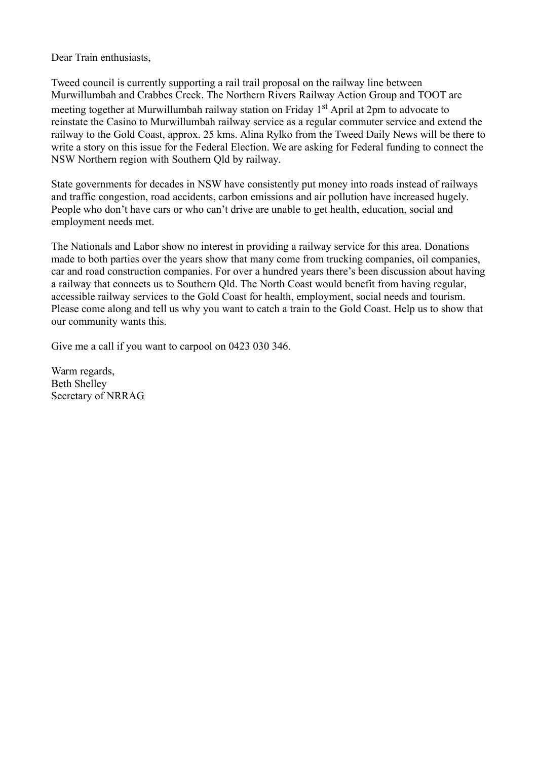Dear Train enthusiasts,

Tweed council is currently supporting a rail trail proposal on the railway line between Murwillumbah and Crabbes Creek. The Northern Rivers Railway Action Group and TOOT are meeting together at Murwillumbah railway station on Friday 1<sup>st</sup> April at 2pm to advocate to reinstate the Casino to Murwillumbah railway service as a regular commuter service and extend the railway to the Gold Coast, approx. 25 kms. Alina Rylko from the Tweed Daily News will be there to write a story on this issue for the Federal Election. We are asking for Federal funding to connect the NSW Northern region with Southern Qld by railway.

State governments for decades in NSW have consistently put money into roads instead of railways and traffic congestion, road accidents, carbon emissions and air pollution have increased hugely. People who don't have cars or who can't drive are unable to get health, education, social and employment needs met.

The Nationals and Labor show no interest in providing a railway service for this area. Donations made to both parties over the years show that many come from trucking companies, oil companies, car and road construction companies. For over a hundred years there's been discussion about having a railway that connects us to Southern Qld. The North Coast would benefit from having regular, accessible railway services to the Gold Coast for health, employment, social needs and tourism. Please come along and tell us why you want to catch a train to the Gold Coast. Help us to show that our community wants this.

Give me a call if you want to carpool on 0423 030 346.

Warm regards, Beth Shelley Secretary of NRRAG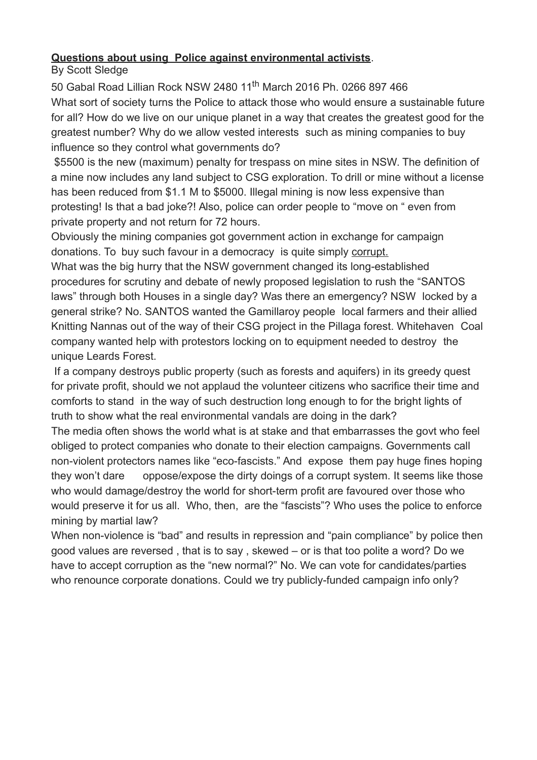## **Questions about using Police against environmental activists**.

By Scott Sledge

50 Gabal Road Lillian Rock NSW 2480 11<sup>th</sup> March 2016 Ph. 0266 897 466 What sort of society turns the Police to attack those who would ensure a sustainable future for all? How do we live on our unique planet in a way that creates the greatest good for the greatest number? Why do we allow vested interests such as mining companies to buy influence so they control what governments do?

\$5500 is the new (maximum) penalty for trespass on mine sites in NSW. The definition of a mine now includes any land subject to CSG exploration. To drill or mine without a license has been reduced from \$1.1 M to \$5000. Illegal mining is now less expensive than protesting! Is that a bad joke?! Also, police can order people to "move on " even from private property and not return for 72 hours.

Obviously the mining companies got government action in exchange for campaign donations. To buy such favour in a democracy is quite simply corrupt.

What was the big hurry that the NSW government changed its long-established procedures for scrutiny and debate of newly proposed legislation to rush the "SANTOS laws" through both Houses in a single day? Was there an emergency? NSW locked by a general strike? No. SANTOS wanted the Gamillaroy people local farmers and their allied Knitting Nannas out of the way of their CSG project in the Pillaga forest. Whitehaven Coal company wanted help with protestors locking on to equipment needed to destroy the unique Leards Forest.

If a company destroys public property (such as forests and aquifers) in its greedy quest for private profit, should we not applaud the volunteer citizens who sacrifice their time and comforts to stand in the way of such destruction long enough to for the bright lights of truth to show what the real environmental vandals are doing in the dark?

The media often shows the world what is at stake and that embarrasses the govt who feel obliged to protect companies who donate to their election campaigns. Governments call non-violent protectors names like "eco-fascists." And expose them pay huge fines hoping they won't dare oppose/expose the dirty doings of a corrupt system. It seems like those who would damage/destroy the world for short-term profit are favoured over those who would preserve it for us all. Who, then, are the "fascists"? Who uses the police to enforce mining by martial law?

When non-violence is "bad" and results in repression and "pain compliance" by police then good values are reversed , that is to say , skewed – or is that too polite a word? Do we have to accept corruption as the "new normal?" No. We can vote for candidates/parties who renounce corporate donations. Could we try publicly-funded campaign info only?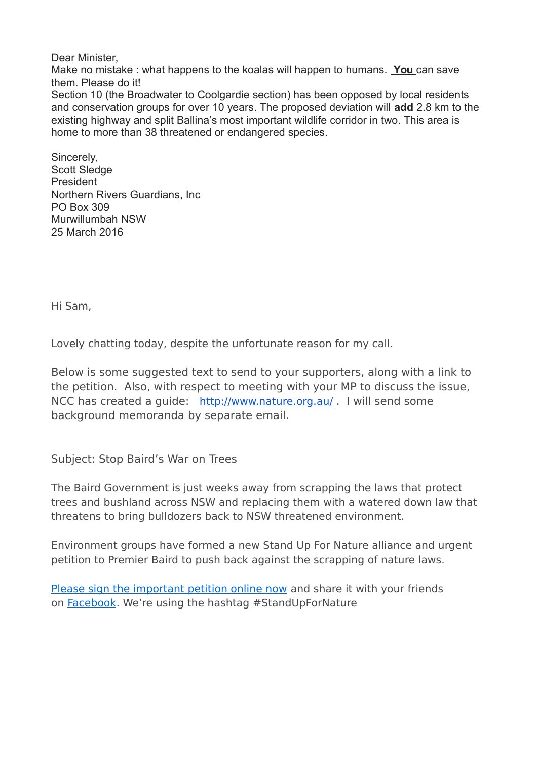Dear Minister, Make no mistake : what happens to the koalas will happen to humans. **You** can save them. Please do it! Section 10 (the Broadwater to Coolgardie section) has been opposed by local residents and conservation groups for over 10 years. The proposed deviation will **add** 2.8 km to the existing highway and split Ballina's most important wildlife corridor in two. This area is home to more than 38 threatened or endangered species.

Sincerely, Scott Sledge President Northern Rivers Guardians, Inc PO Box 309 Murwillumbah NSW 25 March 2016

Hi Sam,

Lovely chatting today, despite the unfortunate reason for my call.

Below is some suggested text to send to your supporters, along with a link to the petition. Also, with respect to meeting with your MP to discuss the issue, NCC has created a guide: [http://www.nature.org.au/](http://www.nature.org.au/media/172085/guide-to-meeting-your-local-mp-biodiversity-legislation-review.pdf) . I will send some background memoranda by separate email.

Subject: Stop Baird's War on Trees

The Baird Government is just weeks away from scrapping the laws that protect trees and bushland across NSW and replacing them with a watered down law that threatens to bring bulldozers back to NSW threatened environment.

Environment groups have formed a new Stand Up For Nature alliance and urgent petition to Premier Baird to push back against the scrapping of nature laws.

[Please sign the important petition online now](http://www.standupfornature.org.au/petition?recruiter_id=108171) and share it with your friends on [Facebook.](https://www.facebook.com/naturensw/photos/a.175414079136806.45532.156271657717715/1139156902762514/?type=3&theater) We're using the hashtag #StandUpForNature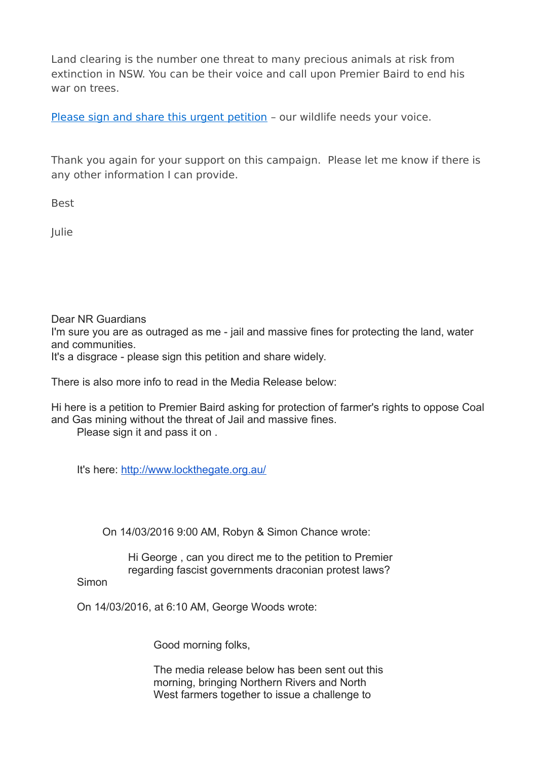Land clearing is the number one threat to many precious animals at risk from extinction in NSW. You can be their voice and call upon Premier Baird to end his war on trees.

[Please sign and share this urgent petition](http://www.standupfornature.org.au/petition?recruiter_id=108171) - our wildlife needs your voice.

Thank you again for your support on this campaign. Please let me know if there is any other information I can provide.

Best

Julie

Dear NR Guardians I'm sure you are as outraged as me - jail and massive fines for protecting the land, water and communities. It's a disgrace - please sign this petition and share widely.

There is also more info to read in the Media Release below:

Hi here is a petition to Premier Baird asking for protection of farmer's rights to oppose Coal and Gas mining without the threat of Jail and massive fines.

Please sign it and pass it on .

It's here: [http://www.lockthegate.org.au/](http://www.lockthegate.org.au/dont_punish_the_people_petition)

On 14/03/2016 9:00 AM, Robyn & Simon Chance wrote:

Hi George , can you direct me to the petition to Premier regarding fascist governments draconian protest laws?

**Simon** 

On 14/03/2016, at 6:10 AM, George Woods wrote:

Good morning folks,

The media release below has been sent out this morning, bringing Northern Rivers and North West farmers together to issue a challenge to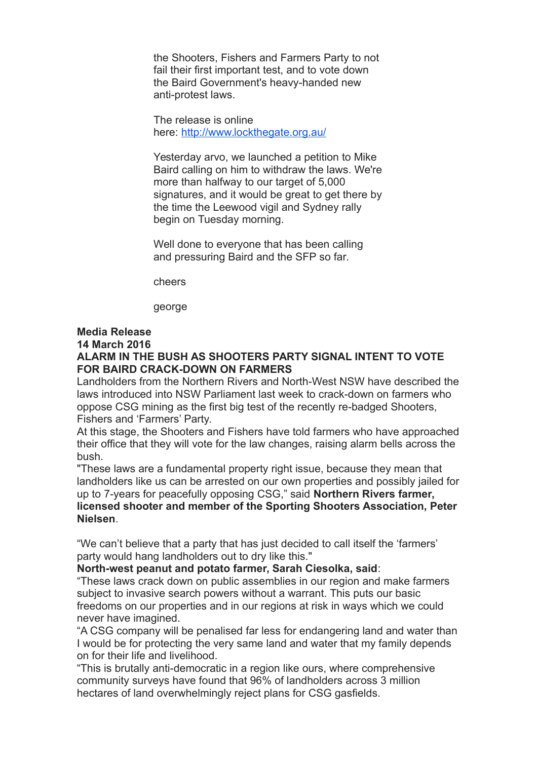the Shooters, Fishers and Farmers Party to not fail their first important test, and to vote down the Baird Government's heavy-handed new anti-protest laws.

The release is online here: [http://www.lockthegate.org.au/](http://www.lockthegate.org.au/alarm_in_the_bush)

Yesterday arvo, we launched a petition to Mike Baird calling on him to withdraw the laws. We're more than halfway to our target of 5,000 signatures, and it would be great to get there by the time the Leewood vigil and Sydney rally begin on Tuesday morning.

Well done to everyone that has been calling and pressuring Baird and the SFP so far.

cheers

george

## **Media Release**

### **14 March 2016**

## **ALARM IN THE BUSH AS SHOOTERS PARTY SIGNAL INTENT TO VOTE FOR BAIRD CRACK-DOWN ON FARMERS**

Landholders from the Northern Rivers and North-West NSW have described the laws introduced into NSW Parliament last week to crack-down on farmers who oppose CSG mining as the first big test of the recently re-badged Shooters, Fishers and 'Farmers' Party.

At this stage, the Shooters and Fishers have told farmers who have approached their office that they will vote for the law changes, raising alarm bells across the bush.

"These laws are a fundamental property right issue, because they mean that landholders like us can be arrested on our own properties and possibly jailed for up to 7-years for peacefully opposing CSG," said **Northern Rivers farmer, licensed shooter and member of the Sporting Shooters Association, Peter Nielsen**.

"We can't believe that a party that has just decided to call itself the 'farmers' party would hang landholders out to dry like this."

**North-west peanut and potato farmer, Sarah Ciesolka, said**:

"These laws crack down on public assemblies in our region and make farmers subject to invasive search powers without a warrant. This puts our basic freedoms on our properties and in our regions at risk in ways which we could never have imagined.

"A CSG company will be penalised far less for endangering land and water than I would be for protecting the very same land and water that my family depends on for their life and livelihood.

"This is brutally anti-democratic in a region like ours, where comprehensive community surveys have found that 96% of landholders across 3 million hectares of land overwhelmingly reject plans for CSG gasfields.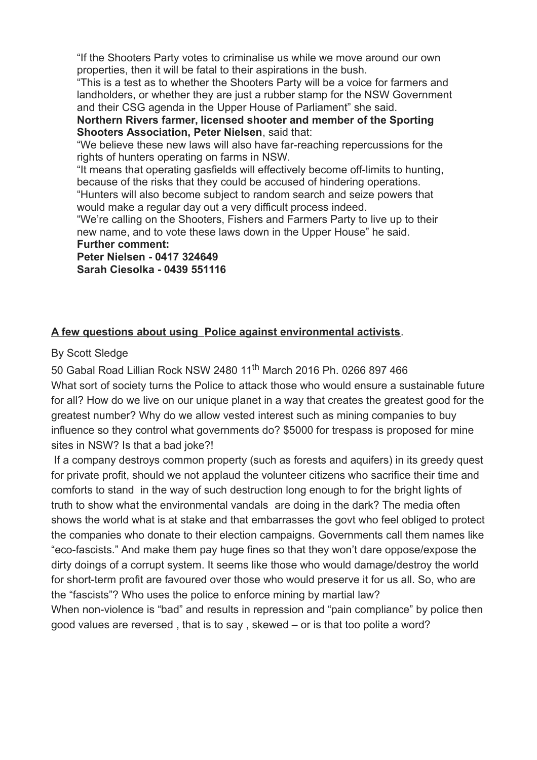"If the Shooters Party votes to criminalise us while we move around our own properties, then it will be fatal to their aspirations in the bush.

"This is a test as to whether the Shooters Party will be a voice for farmers and landholders, or whether they are just a rubber stamp for the NSW Government and their CSG agenda in the Upper House of Parliament" she said.

**Northern Rivers farmer, licensed shooter and member of the Sporting Shooters Association, Peter Nielsen**, said that:

"We believe these new laws will also have far-reaching repercussions for the rights of hunters operating on farms in NSW.

"It means that operating gasfields will effectively become off-limits to hunting, because of the risks that they could be accused of hindering operations.

"Hunters will also become subject to random search and seize powers that would make a regular day out a very difficult process indeed.

"We're calling on the Shooters, Fishers and Farmers Party to live up to their new name, and to vote these laws down in the Upper House" he said.

### **Further comment:**

**Peter Nielsen - 0417 324649 Sarah Ciesolka - 0439 551116**

## **A few questions about using Police against environmental activists**.

By Scott Sledge

50 Gabal Road Lillian Rock NSW 2480 11<sup>th</sup> March 2016 Ph. 0266 897 466 What sort of society turns the Police to attack those who would ensure a sustainable future for all? How do we live on our unique planet in a way that creates the greatest good for the greatest number? Why do we allow vested interest such as mining companies to buy influence so they control what governments do? \$5000 for trespass is proposed for mine sites in NSW? Is that a bad joke?!

If a company destroys common property (such as forests and aquifers) in its greedy quest for private profit, should we not applaud the volunteer citizens who sacrifice their time and comforts to stand in the way of such destruction long enough to for the bright lights of truth to show what the environmental vandals are doing in the dark? The media often shows the world what is at stake and that embarrasses the govt who feel obliged to protect the companies who donate to their election campaigns. Governments call them names like "eco-fascists." And make them pay huge fines so that they won't dare oppose/expose the dirty doings of a corrupt system. It seems like those who would damage/destroy the world for short-term profit are favoured over those who would preserve it for us all. So, who are the "fascists"? Who uses the police to enforce mining by martial law? When non-violence is "bad" and results in repression and "pain compliance" by police then good values are reversed , that is to say , skewed – or is that too polite a word?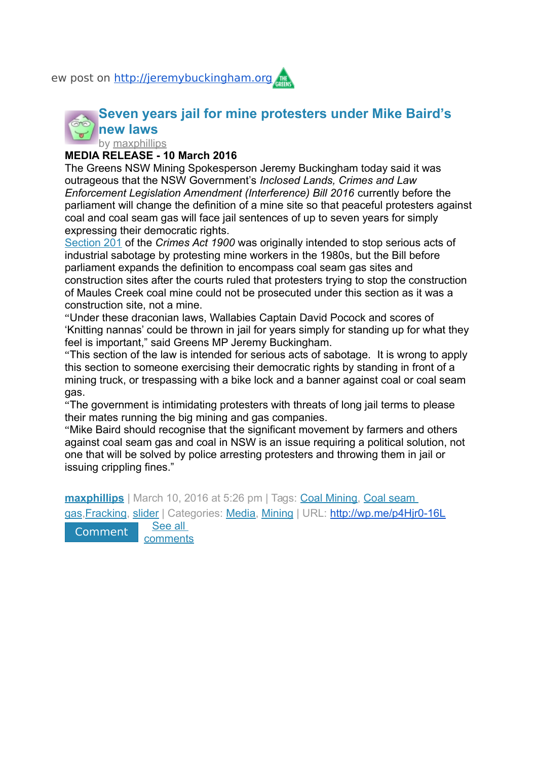ew post on [http://jeremybuckingham.org](http://jeremybuckingham.org/)

# **[Seven years jail for mine protesters under Mike Baird's](http://jeremybuckingham.org/2016/03/10/seven-years-jail-for-mine-protesters-under-mike-bairds-new-laws/)  [n](http://jeremybuckingham.org/author/maxphillips/)ew [laws](http://jeremybuckingham.org/2016/03/10/seven-years-jail-for-mine-protesters-under-mike-bairds-new-laws/)**

by [maxphillips](http://jeremybuckingham.org/author/maxphillips/)

## **MEDIA RELEASE - 10 March 2016**

The Greens NSW Mining Spokesperson Jeremy Buckingham today said it was outrageous that the NSW Government's *Inclosed Lands, Crimes and Law Enforcement Legislation Amendment (Interference) Bill 2016* currently before the parliament will change the definition of a mine site so that peaceful protesters against coal and coal seam gas will face jail sentences of up to seven years for simply expressing their democratic rights.

[Section 201](http://www.austlii.edu.au/au/legis/nsw/consol_act/ca190082/s201.html) of the *Crimes Act 1900* was originally intended to stop serious acts of industrial sabotage by protesting mine workers in the 1980s, but the Bill before parliament expands the definition to encompass coal seam gas sites and construction sites after the courts ruled that protesters trying to stop the construction of Maules Creek coal mine could not be prosecuted under this section as it was a construction site, not a mine.

"Under these draconian laws, Wallabies Captain David Pocock and scores of 'Knitting nannas' could be thrown in jail for years simply for standing up for what they feel is important," said Greens MP Jeremy Buckingham.

"This section of the law is intended for serious acts of sabotage. It is wrong to apply this section to someone exercising their democratic rights by standing in front of a mining truck, or trespassing with a bike lock and a banner against coal or coal seam gas.

"The government is intimidating protesters with threats of long jail terms to please their mates running the big mining and gas companies.

"Mike Baird should recognise that the significant movement by farmers and others against coal seam gas and coal in NSW is an issue requiring a political solution, not one that will be solved by police arresting protesters and throwing them in jail or issuing crippling fines."

**[maxphillips](http://jeremybuckingham.org/author/maxphillips/)** | March 10, 2016 at 5:26 pm | Tags: [Coal Mining,](http://jeremybuckingham.org/?tag=coal-mining) Coal seam [gas,](http://jeremybuckingham.org/?tag=coal-seam-gas)[Fracking,](http://jeremybuckingham.org/?tag=fracking) [slider](http://jeremybuckingham.org/?tag=slider) | Categories: [Media,](http://jeremybuckingham.org/?cat=292) [Mining](http://jeremybuckingham.org/?cat=54069) | URL: <http://wp.me/p4Hjr0-16L> [Comment](http://jeremybuckingham.org/2016/03/10/seven-years-jail-for-mine-protesters-under-mike-bairds-new-laws/#respond) See all

[comments](http://jeremybuckingham.org/2016/03/10/seven-years-jail-for-mine-protesters-under-mike-bairds-new-laws/#comments)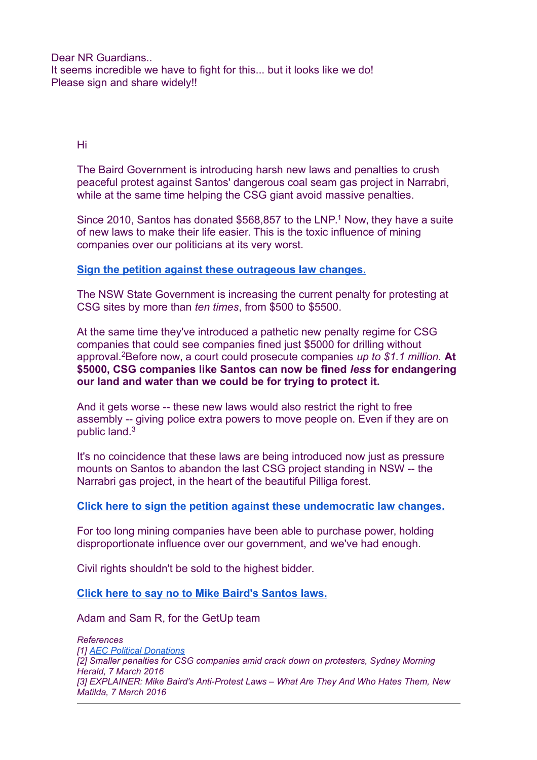Dear NR Guardians... It seems incredible we have to fight for this... but it looks like we do! Please sign and share widely!!

Hi

The Baird Government is introducing harsh new laws and penalties to crush peaceful protest against Santos' dangerous coal seam gas project in Narrabri, while at the same time helping the CSG giant avoid massive penalties.

Since 2010, Santos has donated \$568,857 to the LNP.<sup>1</sup> Now, they have a suite of new laws to make their life easier. This is the toxic influence of mining companies over our politicians at its very worst.

### **[Sign the petition against these outrageous law changes.](https://www.getup.org.au/campaigns/coal-seam-gas/the-santos-law/no-special-laws-for-santos?t=zYPXDsP82&utm_content=12007&utm_campaign=Mike%20Baird%20just%20wrote%20a%20new%20law%20for%20Santos&utm_source=blast&utm_medium=email)**

The NSW State Government is increasing the current penalty for protesting at CSG sites by more than *ten times*, from \$500 to \$5500.

At the same time they've introduced a pathetic new penalty regime for CSG companies that could see companies fined just \$5000 for drilling without approval.<sup>2</sup>Before now, a court could prosecute companies *up to \$1.1 million.* **At \$5000, CSG companies like Santos can now be fined** *less* **for endangering our land and water than we could be for trying to protect it.**

And it gets worse -- these new laws would also restrict the right to free assembly -- giving police extra powers to move people on. Even if they are on public land.<sup>3</sup>

It's no coincidence that these laws are being introduced now just as pressure mounts on Santos to abandon the last CSG project standing in NSW -- the Narrabri gas project, in the heart of the beautiful Pilliga forest.

#### **[Click here to sign the petition against these undemocratic law changes.](https://www.getup.org.au/campaigns/coal-seam-gas/the-santos-law/no-special-laws-for-santos?t=zYPXDsP82&utm_content=12007&utm_campaign=Mike%20Baird%20just%20wrote%20a%20new%20law%20for%20Santos&utm_source=blast&utm_medium=email)**

For too long mining companies have been able to purchase power, holding disproportionate influence over our government, and we've had enough.

Civil rights shouldn't be sold to the highest bidder.

#### **[Click here to say no to Mike Baird's Santos laws.](https://www.getup.org.au/campaigns/coal-seam-gas/the-santos-law/no-special-laws-for-santos?t=zYPXDsP82&utm_content=12007&utm_campaign=Mike%20Baird%20just%20wrote%20a%20new%20law%20for%20Santos&utm_source=blast&utm_medium=email)**

Adam and Sam R, for the GetUp team

*References [1] [AEC Political Donations](http://periodicdisclosures.aec.gov.au/Donor.aspx?SubmissionId=56&ClientId=626&t=zYPXDsP82&utm_content=12007&utm_campaign=Mike%20Baird%20just%20wrote%20a%20new%20law%20for%20Santos&utm_source=blast&utm_medium=email) [2] Smaller penalties for CSG companies amid crack down on protesters, Sydney Morning Herald, 7 March 2016 [3] EXPLAINER: Mike Baird's Anti-Protest Laws – What Are They And Who Hates Them, New Matilda, 7 March 2016*